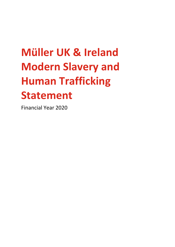# **Müller UK & Ireland Modern Slavery and Human Trafficking Statement**

Financial Year 2020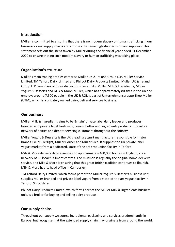#### **Introduction**

Müller is committed to ensuring that there is no modern slavery or human trafficking in our business or our supply chains and imposes the same high standards on our suppliers. This statement sets out the steps taken by Müller during the financial year ended 31 December 2020 to ensure that no such modern slavery or human trafficking was taking place.

### **Organisation's structure**

Müller's main trading entities comprise Muller UK & Ireland Group LLP, Muller Service Limited, TM Telford Dairy Limited and Philpot Dairy Products Limited. Muller UK & Ireland Group LLP comprises of three distinct business units: Müller Milk & Ingredients, Müller Yogurt & Desserts and Milk & More. Müller, which has approximately 80 sites in the UK and employs around 7,500 people in the UK & ROI, is part of Unternehmensgruppe Theo Müller (UTM), which is a privately owned dairy, deli and services business.

#### **Our business**

Müller Milk & Ingredients aims to be Britain' private label dairy leader and produces branded and private label fresh milk, cream, butter and ingredients products. It boasts a network of dairies and depots servicing customers throughout the country.

Müller Yogurt & Desserts is the UK's leading yogurt manufacturer responsible for major brands like Müllerlight, Müller Corner and Müller Rice. It supplies the UK private label yogurt market from a dedicated, state of the art production facility in Telford.

Milk & More delivers daily essentials to approximately 400,000 homes in England, via a network of 53 local fulfilment centres. The milkman is arguably the original home delivery service, and Milk & More is ensuring that this great British tradition continues to flourish. Milk & More has its head office in Camberley.

TM Telford Dairy Limited, which forms part of the Müller Yogurt & Desserts business unit, supplies Müller branded and private label yogurt from a state-of-the-art yogurt facility in Telford, Shropshire.

Philpot Dairy Products Limited, which forms part of the Müller Milk & Ingredients business unit, is a broker for buying and selling dairy products.

# **Our supply chains**

Throughout our supply we source ingredients, packaging and services predominantly in Europe, but recognise that the extended supply chain may originate from around the world.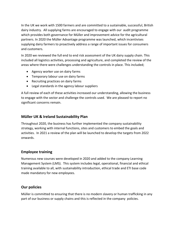In the UK we work with 1500 farmers and are committed to a sustainable, successful, British dairy industry. All supplying farms are encouraged to engage with our audit programme which provides both governance for Müller and improvement advice for the agricultural partners. In 2020 the Müller Advantage programme was launched, which incentivises supplying dairy farmers to proactively address a range of important issues for consumers and customers.

In 2020 we reviewed the full end to end risk assessment of the UK dairy supply chain. This included all logistics activities, processing and agriculture, and completed the review of the areas where there were challenges understanding the controls in place. This included;

- Agency worker use on dairy farms
- Temporary labour use on dairy farms
- Recruiting practices on dairy farms
- Legal standards in the agency labour suppliers

A full review of each of these activities increased our understanding, allowing the business to engage with the sector and challenge the controls used. We are pleased to report no significant concerns remain.

### **Müller UK & Ireland Sustainability Plan**

Throughout 2020, the business has further implemented the company sustainability strategy, working with internal functions, sites and customers to embed the goals and activities. In 2021 a review of the plan will be launched to develop the targets from 2022 onwards.

#### **Employee training**

Numerous new courses were developed in 2020 and added to the company Learning Management System (LMS). This system includes legal, operational, financial and ethical training available to all, with sustainability introduction, ethical trade and ETI base code made mandatory for new employees.

# **Our policies**

Müller is committed to ensuring that there is no modern slavery or human trafficking in any part of our business or supply chains and this is reflected in the company policies.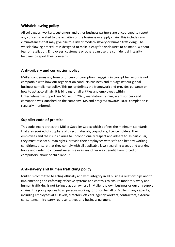# **Whistleblowing policy**

All colleagues, workers, customers and other business partners are encouraged to report any concerns related to the activities of the business or supply chain. This includes any circumstances that may give rise to a risk of modern slavery or human trafficking. The whistleblowing procedure is designed to make it easy for disclosures to be made, without fear of retaliation. Employees, customers or others can use the confidential integrity helpline to report their concerns.

# **Anti-bribery and corruption policy**

Müller condemns any form of bribery or corruption. Engaging in corrupt behaviour is not compatible with how our organisation conducts business and it is against our global business compliance policy. This policy defines the framework and provides guidance on how to act accordingly. It is binding for all entities and employees within Unternehmensgruppe Theo Müller. In 2020, mandatory training in anti-bribery and corruption was launched on the company LMS and progress towards 100% completion is regularly monitored.

### **Supplier code of practice**

This code incorporates the Müller Supplier Codex which defines the minimum standards that are required of suppliers of direct materials, co-packers, licence holders, their employees and their subsidiaries to unconditionally respect and adhere to. In particular, they must respect human rights, provide their employees with safe and healthy working conditions, ensure that they comply with all applicable laws regarding wages and working hours and under no circumstances use or in any other way benefit from forced or compulsory labour or child labour.

# **Anti-slavery and human trafficking policy**

Müller is committed to acting ethically and with integrity in all business relationships and to implementing and enforcing effective systems and controls to ensure modern slavery and human trafficking is not taking place anywhere in Muller the own business or our any supply chains. The policy applies to all persons working for or on behalf of Müller in any capacity, including employees at all levels, directors, officers, agency workers, contractors, external consultants, third-party representatives and business partners.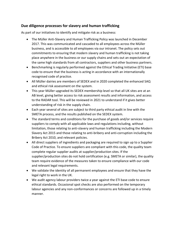# **Due diligence processes for slavery and human trafficking**

As part of our initiatives to identify and mitigate risk as a business:

- The Müller Anti-Slavery and Human Trafficking Policy was launched in December 2017. This was communicated and cascaded to all employees across the Müller business, and is accessible to all employees via our intranet. The policy sets out commitments to ensuring that modern slavery and human trafficking is not taking place anywhere in the business or our supply chains and sets out an expectation of the same high standards from all contractors, suppliers and other business partners.
- Benchmarking is regularly performed against the Ethical Trading Initiative (ETI) base code to ensure that the business is acting in accordance with an internationally recognised code of practice.
- All Müller dairies are members of SEDEX and in 2020 completed the enhanced SAQ and ethical risk assessment on the system.
- This year Müller upgraded its SEDEX membership level so that all UK sites are at an AB level, giving better access to risk assessment results and information, and access to the RADAR tool. This will be reviewed in 2021 to understand if it gives better understanding of risk in the supply chain.
- Each year several of sites are subject to third party ethical audit in line with the SMETA process, and the results published on the SEDEX system.
- The standard terms and conditions for the purchase of goods and/or services require suppliers to comply with all applicable laws and regulations including, without limitation, those relating to anti-slavery and human trafficking including the Modern Slavery Act 2015 and those relating to anti-bribery and anti-corruption including the Bribery Act 2010, and relevant policies.
- All direct suppliers of ingredients and packaging are required to sign up to a Supplier Code of Practice. To ensure suppliers are compliant with this code, the quality team complete regular supplier audits at supplier/production sites. If the supplier/production sites do not hold certification (e.g. SMETA or similar), the quality team require evidence of the measures taken to ensure compliance with our code and relevant legal requirements.
- We validate the identity of all permanent employees and ensure that they have the legal right to work in the UK.
- We audit agency labour providers twice a year against the ETI base code to ensure ethical standards. Occasional spot checks are also performed on the temporary labour agencies and any non-conformances or concerns are followed up in a timely manner.